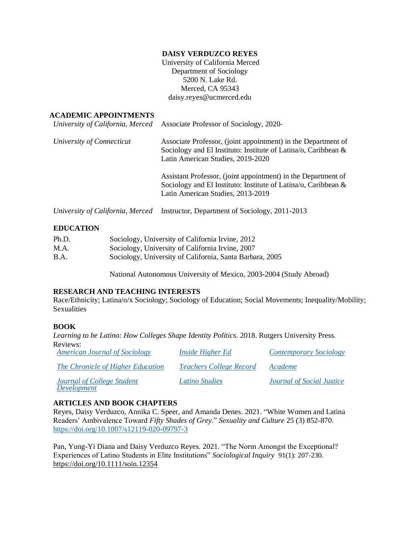### **DAISY VERDUZCO REYES**

University of California Merced Department of Sociology 5200 N. Lake Rd. Merced, CA 95343 daisy.reyes@ucmerced.edu

#### **ACADEMIC APPOINTMENTS**

|                           | University of California, Merced Associate Professor of Sociology, 2020-                                                                                                |
|---------------------------|-------------------------------------------------------------------------------------------------------------------------------------------------------------------------|
| University of Connecticut | Associate Professor, (joint appointment) in the Department of<br>Sociology and El Instituto: Institute of Latina/o, Caribbean $\&$<br>Latin American Studies, 2019-2020 |
|                           | Assistant Professor, (joint appointment) in the Department of<br>Sociology and El Instituto: Institute of Latina/o, Caribbean &<br>Latin American Studies, 2013-2019    |
|                           | University of California, Merced Instructor, Department of Sociology, 2011-2013                                                                                         |

#### **EDUCATION**

| Ph.D. | Sociology, University of California Irvine, 2012         |
|-------|----------------------------------------------------------|
| M.A.  | Sociology, University of California Irvine, 2007         |
| B.A.  | Sociology, University of California, Santa Barbara, 2005 |

National Autonomous University of Mexico, 2003-2004 (Study Abroad)

## **RESEARCH AND TEACHING INTERESTS**

Race/Ethnicity; Latina/o/x Sociology; Sociology of Education; Social Movements; Inequality/Mobility; Sexualities

## **BOOK**

*Learning to be Latino: How Colleges Shape Identity Politics*. 2018. Rutgers University Press. Reviews:

| <b>American Journal of Sociology</b>             | <i>Inside Higher Ed</i>        | <b>Contemporary Sociology</b>    |
|--------------------------------------------------|--------------------------------|----------------------------------|
| The Chronicle of Higher Education                | <i>Teachers College Record</i> | Academe                          |
| <b>Journal of College Student</b><br>Development | Latino Studies                 | <b>Journal of Social Justice</b> |

## **ARTICLES AND BOOK CHAPTERS**

Reyes, Daisy Verduzco, Annika C. Speer, and Amanda Denes. 2021. "White Women and Latina Readers' Ambivalence Toward *Fifty Shades of Grey.*" *Sexuality and Culture* 25 (3) 852-870. <https://doi.org/10.1007/s12119-020-09797-3>

Pan, Yung-Yi Diana and Daisy Verduzco Reyes. 2021. "The Norm Amongst the Exceptional? Experiences of Latino Students in Elite Institutions" *Sociological Inquiry* 91(1): 207-230. <https://doi.org/10.1111/soin.12354>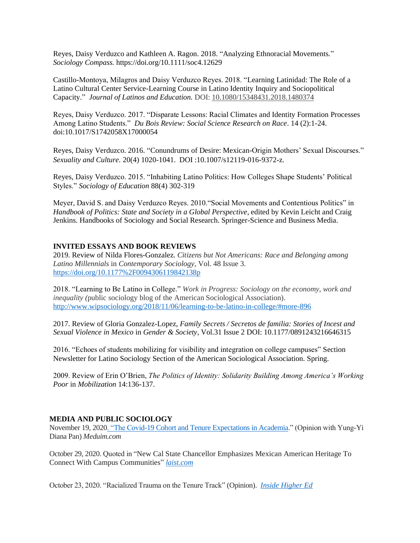Reyes, Daisy Verduzco and Kathleen A. Ragon. 2018. "Analyzing Ethnoracial Movements." *Sociology Compass.* https://doi.org/10.1111/soc4.12629

Castillo-Montoya, Milagros and Daisy Verduzco Reyes. 2018. "Learning Latinidad: The Role of a Latino Cultural Center Service-Learning Course in Latino Identity Inquiry and Sociopolitical Capacity." *Journal of Latinos and Education.* DOI: [10.1080/15348431.2018.1480374](https://doi.org/10.1080/15348431.2018.1480374)

Reyes, Daisy Verduzco. 2017. "Disparate Lessons: Racial Climates and Identity Formation Processes Among Latino Students." *Du Bois Review: Social Science Research on Race*. 14 (2):1-24. [doi](https://doi.org/10.1017/S1742058X17000054):10.1017/S1742058X17000054

Reyes, Daisy Verduzco. 2016. "Conundrums of Desire: Mexican-Origin Mothers' Sexual Discourses." *Sexuality and Culture.* 20(4) 1020-1041. DOI :10.1007/s12119-016-9372-z.

Reyes, Daisy Verduzco. 2015. "Inhabiting Latino Politics: How Colleges Shape Students' Political Styles." *Sociology of Education* 88(4) 302-319

Meyer, David S. and Daisy Verduzco Reyes. 2010."Social Movements and Contentious Politics" in *Handbook of Politics: State and Society in a Global Perspective*, edited by Kevin Leicht and Craig Jenkins. Handbooks of Sociology and Social Research. Springer-Science and Business Media.

#### **INVITED ESSAYS AND BOOK REVIEWS**

2019. Review of Nilda Flores-Gonzalez. *Citizens but Not Americans: Race and Belonging among Latino Millennials* in *Contemporary Sociology,* Vol. 48 Issue 3. <https://doi.org/10.1177%2F0094306119842138p>

2018. "Learning to Be Latino in College." *Work in Progress: Sociology on the economy, work and inequality (*public sociology blog of the American Sociological Association). <http://www.wipsociology.org/2018/11/06/learning-to-be-latino-in-college/#more-896>

2017. Review of Gloria Gonzalez-Lopez, *Family Secrets / Secretos de familia: Stories of Incest and Sexual Violence in Mexico* in *Gender & Society*, Vol.31 Issue 2 DOI: 10.1177/0891243216646315

2016. "Echoes of students mobilizing for visibility and integration on college campuses" Section Newsletter for Latino Sociology Section of the American Sociological Association. Spring.

2009. Review of Erin O'Brien, *The Politics of Identity: Solidarity Building Among America's Working Poor* in *Mobilization* 14:136-137.

## **MEDIA AND PUBLIC SOCIOLOGY**

November 19, 202[0. "The Covid-19 Cohort and Tenure Expectations in Academia."](https://medium.com/the-covid-19-cohort-and-tenure-expectations-in/the-covid-19-cohort-and-tenure-expectations-in-academia-3b3e26fc4693) (Opinion with Yung-Yi Diana Pan) *Meduim.com* 

October 29, 2020. Quoted in "New Cal State Chancellor Emphasizes Mexican American Heritage To Connect With Campus Communities" *[laist.com](https://laist.com/2020/10/29/cal-state-first-mexican-american-chancellor.php)*

October 23, 2020. "Racialized Trauma on the Tenure Track" (Opinion).*[Inside Higher Ed](https://www.insidehighered.com/advice/2020/10/23/latinx-scholar-describes-challenges-she-confronted-seeking-tenure-opinion)*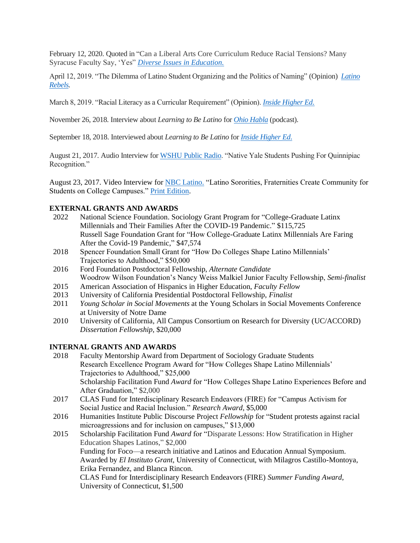February 12, 2020. Quoted in "Can a Liberal Arts Core Curriculum Reduce Racial Tensions? Many Syracuse Faculty Say, 'Yes" *[Diverse Issues in Education.](https://diverseeducation.com/article/166860/#.XkU_rc3bitJ.twitter)* 

April 12, 2019. "The Dilemma of Latino Student Organizing and the Politics of Naming" (Opinion) *[Latino](https://www.latinorebels.com/2019/04/12/dilemmalatinoorganizing/)  [Rebels.](https://www.latinorebels.com/2019/04/12/dilemmalatinoorganizing/)* 

March 8, 2019. "Racial Literacy as a Curricular Requirement" (Opinion). *[Inside Higher Ed.](https://www.insidehighered.com/advice/2019/03/08/colleges-should-have-required-core-curriculum-racial-literacy-opinion)*

November 26, 2018. Interview about *Learning to Be Latino* for *[Ohio Habla](https://soundcloud.com/ohiohabla/ohio-habla-daisy-v-reyes?fbclid=IwAR3ydbYFOdk2BK00fPHyiDaVpDM5PzpnkQjB3Wiun7x5i40xYAO2LQ5vFj8)* (podcast).

September 18, 2018. Interviewed about *Learning to Be Latino* for *[Inside Higher Ed](https://www.insidehighered.com/news/2018/09/18/author-discusses-new-book-how-latino-students-shape-identity)*.

August 21, 2017. Audio Interview for [WSHU Public Radio.](http://www.wshu.org/post/native-yale-students-pushing-quinnipiac-recognition#stream/0) "Native Yale Students Pushing For Quinnipiac Recognition."

August 23, 2017. Video Interview fo[r NBC Latino.](https://www.nbcnews.com/video/latino-sororities-fraternities-create-community-for-students-on-college-campuses-1030154307883) "Latino Sororities, Fraternities Create Community for Students on College Campuses." [Print Edition.](https://www.nbcnews.com/news/latino/stepping-strolling-community-latino-sororities-fraternities-grow-popularity-n794696)

### **EXTERNAL GRANTS AND AWARDS**

- 2022 National Science Foundation. Sociology Grant Program for "College-Graduate Latinx Millennials and Their Families After the COVID-19 Pandemic." \$115,725 Russell Sage Foundation Grant for "How College-Graduate Latinx Millennials Are Faring After the Covid-19 Pandemic," \$47,574
- 2018 Spencer Foundation Small Grant for "How Do Colleges Shape Latino Millennials' Trajectories to Adulthood," \$50,000
- 2016 Ford Foundation Postdoctoral Fellowship, *Alternate Candidate* Woodrow Wilson Foundation's Nancy Weiss Malkiel Junior Faculty Fellowship, *Semi-finalist*
- 2015 American Association of Hispanics in Higher Education, *Faculty Fellow*
- 2013 University of California Presidential Postdoctoral Fellowship, *Finalist*
- 2011 *Young Scholar in Social Movements* at the Young Scholars in Social Movements Conference at University of Notre Dame
- 2010 University of California, All Campus Consortium on Research for Diversity (UC/ACCORD) *Dissertation Fellowship*, \$20,000

### **INTERNAL GRANTS AND AWARDS**

- 2018 Faculty Mentorship Award from Department of Sociology Graduate Students Research Excellence Program Award for "How Colleges Shape Latino Millennials' Trajectories to Adulthood," \$25,000 Scholarship Facilitation Fund *Award* for "How Colleges Shape Latino Experiences Before and After Graduation," \$2,000
- 2017 CLAS Fund for Interdisciplinary Research Endeavors (FIRE) for "Campus Activism for Social Justice and Racial Inclusion." *Research Award*, \$5,000
- 2016 Humanities Institute Public Discourse Project *Fellowship* for "Student protests against racial microagressions and for inclusion on campuses," \$13,000
- 2015 Scholarship Facilitation Fund *Award* for "Disparate Lessons: How Stratification in Higher Education Shapes Latinos*,*" \$2,000 Funding for Foco—a research initiative and Latinos and Education Annual Symposium. Awarded by *El Instituto Grant*, University of Connecticut, with Milagros Castillo-Montoya, Erika Fernandez, and Blanca Rincon. CLAS Fund for Interdisciplinary Research Endeavors (FIRE) *Summer Funding Award*, University of Connecticut, \$1,500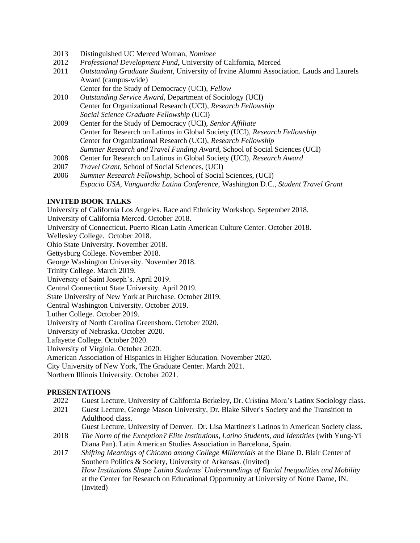- 2013 Distinguished UC Merced Woman, *Nominee*
- 2012 *Professional Development Fund***,** University of California, Merced
- 2011 *Outstanding Graduate Student*, University of Irvine Alumni Association. Lauds and Laurels Award (campus-wide)
	- Center for the Study of Democracy (UCI), *Fellow*
- 2010 *Outstanding Service Award*, Department of Sociology (UCI) Center for Organizational Research (UCI), *Research Fellowship Social Science Graduate Fellowship* (UCI)
- 2009 Center for the Study of Democracy (UCI), *Senior Affiliate* Center for Research on Latinos in Global Society (UCI), *Research Fellowship* Center for Organizational Research (UCI), *Research Fellowship Summer Research and Travel Funding Award*, School of Social Sciences (UCI)
- 2008 Center for Research on Latinos in Global Society (UCI), *Research Award*
- 2007 *Travel Grant*, School of Social Sciences, (UCI)
- 2006 *Summer Research Fellowship*, School of Social Sciences, (UCI) *Espacio USA, Vanguardia Latina Conference,* Washington D.C., *Student Travel Grant*

## **INVITED BOOK TALKS**

University of California Los Angeles. Race and Ethnicity Workshop. September 2018. University of California Merced. October 2018. University of Connecticut. Puerto Rican Latin American Culture Center. October 2018. Wellesley College. October 2018. Ohio State University. November 2018. Gettysburg College. November 2018. George Washington University. November 2018. Trinity College. March 2019. University of Saint Joseph's. April 2019. Central Connecticut State University. April 2019. State University of New York at Purchase. October 2019. Central Washington University. October 2019. Luther College. October 2019. University of North Carolina Greensboro. October 2020. University of Nebraska. October 2020. Lafayette College. October 2020. University of Virginia. October 2020. American Association of Hispanics in Higher Education. November 2020. City University of New York, The Graduate Center. March 2021. Northern Illinois University. October 2021.

## **PRESENTATIONS**

- 2022 Guest Lecture, University of California Berkeley, Dr. Cristina Mora's Latinx Sociology class.
- 2021 Guest Lecture, George Mason University, Dr. Blake Silver's Society and the Transition to Adulthood class.

Guest Lecture, University of Denver. Dr. Lisa Martinez's Latinos in American Society class.

- 2018 *The Norm of the Exception? Elite Institutions, Latino Students, and Identities* (with Yung-Yi Diana Pan). Latin American Studies Association in Barcelona, Spain.
- 2017 *Shifting Meanings of Chicano among College Millennials* at the Diane D. Blair Center of Southern Politics & Society, University of Arkansas. (Invited) *How Institutions Shape Latino Students' Understandings of Racial Inequalities and Mobility* at the Center for Research on Educational Opportunity at University of Notre Dame, IN. (Invited)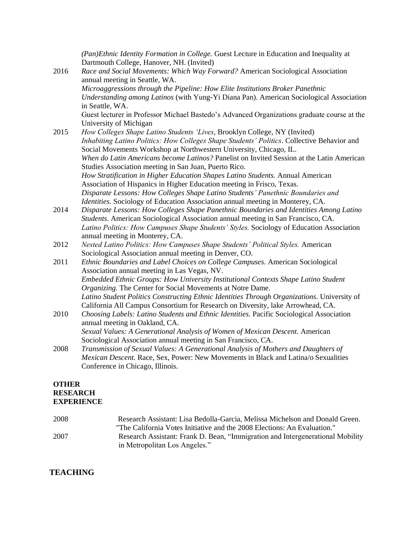*(Pan)Ethnic Identity Formation in College.* Guest Lecture in Education and Inequality at Dartmouth College, Hanover, NH. (Invited) 2016 *Race and Social Movements: Which Way Forward?* American Sociological Association annual meeting in Seattle, WA. *Microaggressions through the Pipeline: How Elite Institutions Broker Panethnic Understanding among Latinos* (with Yung-Yi Diana Pan). American Sociological Association in Seattle, WA. Guest lecturer in Professor Michael Bastedo's Advanced Organizations graduate course at the University of Michigan 2015 *How Colleges Shape Latino Students 'Lives*, Brooklyn College, NY (Invited) *Inhabiting Latino Politics: How Colleges Shape Students' Politics*. Collective Behavior and Social Movements Workshop at Northwestern University, Chicago, IL. *When do Latin Americans become Latinos?* Panelist on Invited Session at the Latin American Studies Association meeting in San Juan, Puerto Rico. *How Stratification in Higher Education Shapes Latino Students.* Annual American Association of Hispanics in Higher Education meeting in Frisco, Texas. *Disparate Lessons: How Colleges Shape Latino Students' Panethnic Boundaries and Identities*. Sociology of Education Association annual meeting in Monterey, CA. 2014 *Disparate Lessons: How Colleges Shape Panethnic Boundaries and Identities Among Latino Students*. American Sociological Association annual meeting in San Francisco, CA. *Latino Politics: How Campuses Shape Students' Styles.* Sociology of Education Association annual meeting in Monterey, CA. 2012 *Nested Latino Politics: How Campuses Shape Students' Political Styles.* American Sociological Association annual meeting in Denver, CO. 2011 *Ethnic Boundaries and Label Choices on College Campuses*. American Sociological Association annual meeting in Las Vegas, NV. *Embedded Ethnic Groups: How University Institutional Contexts Shape Latino Student Organizing.* The Center for Social Movements at Notre Dame. *Latino Student Politics Constructing Ethnic Identities Through Organizations*. University of California All Campus Consortium for Research on Diversity, lake Arrowhead, CA. 2010 *Choosing Labels: Latino Students and Ethnic Identities.* Pacific Sociological Association annual meeting in Oakland, CA. *Sexual Values: A Generational Analysis of Women of Mexican Descent*. American Sociological Association annual meeting in San Francisco, CA.

2008 *Transmission of Sexual Values: A Generational Analysis of Mothers and Daughters of Mexican Descent.* Race, Sex, Power: New Movements in Black and Latina/o Sexualities Conference in Chicago, Illinois.

# **OTHER RESEARCH EXPERIENCE**

| 2008 | Research Assistant: Lisa Bedolla-Garcia, Melissa Michelson and Donald Green.   |
|------|--------------------------------------------------------------------------------|
|      | "The California Votes Initiative and the 2008 Elections: An Evaluation."       |
| 2007 | Research Assistant: Frank D. Bean, "Immigration and Intergenerational Mobility |
|      | in Metropolitan Los Angeles."                                                  |

# **TEACHING**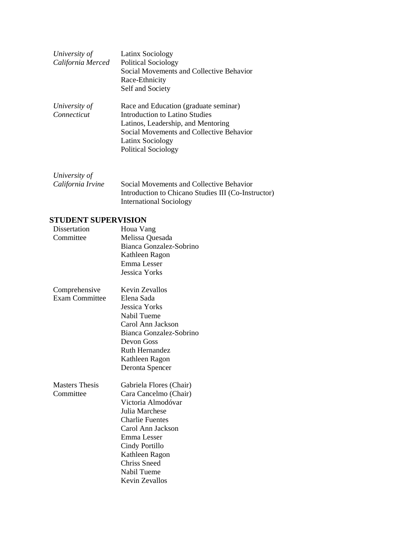| University of<br>California Merced | Latinx Sociology<br><b>Political Sociology</b><br>Social Movements and Collective Behavior<br>Race-Ethnicity<br>Self and Society                                                                            |
|------------------------------------|-------------------------------------------------------------------------------------------------------------------------------------------------------------------------------------------------------------|
| University of<br>Connecticut       | Race and Education (graduate seminar)<br>Introduction to Latino Studies<br>Latinos, Leadership, and Mentoring<br>Social Movements and Collective Behavior<br>Latinx Sociology<br><b>Political Sociology</b> |

| University of     |                                                     |
|-------------------|-----------------------------------------------------|
| California Irvine | Social Movements and Collective Behavior            |
|                   | Introduction to Chicano Studies III (Co-Instructor) |
|                   | International Sociology                             |

# **STUDENT SUPERVISION**

| Dissertation          | Houa Vang               |
|-----------------------|-------------------------|
| Committee             | Melissa Quesada         |
|                       | Bianca Gonzalez-Sobrino |
|                       | Kathleen Ragon          |
|                       | Emma Lesser             |
|                       | <b>Jessica Yorks</b>    |
| Comprehensive         | Kevin Zevallos          |
| <b>Exam Committee</b> | Elena Sada              |
|                       | Jessica Yorks           |
|                       | <b>Nabil Tueme</b>      |
|                       | Carol Ann Jackson       |
|                       | Bianca Gonzalez-Sobrino |
|                       | Devon Goss              |
|                       | <b>Ruth Hernandez</b>   |
|                       | Kathleen Ragon          |
|                       | Deronta Spencer         |
| <b>Masters</b> Thesis | Gabriela Flores (Chair) |
| Committee             | Cara Cancelmo (Chair)   |
|                       | Victoria Almodóvar      |
|                       | Julia Marchese          |
|                       | <b>Charlie Fuentes</b>  |
|                       | Carol Ann Jackson       |
|                       | Emma Lesser             |
|                       | Cindy Portillo          |
|                       | Kathleen Ragon          |
|                       | <b>Chriss Sneed</b>     |
|                       | Nabil Tueme             |
|                       | <b>Kevin Zevallos</b>   |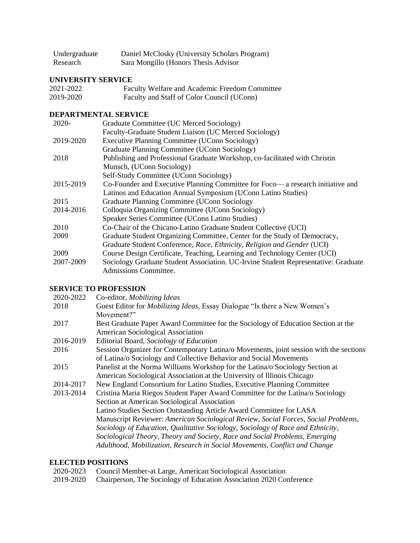| Undergraduate | Daniel McClosky (University Scholars Program) |
|---------------|-----------------------------------------------|
| Research      | Sara Mongillo (Honors Thesis Advisor          |

# **UNIVERSITY SERVICE**

| 2021-2022 | Faculty Welfare and Academic Freedom Committee |
|-----------|------------------------------------------------|
| 2019-2020 | Faculty and Staff of Color Council (UConn)     |

### **DEPARTMENTAL SERVICE**

| $2020 -$  | Graduate Committee (UC Merced Sociology)                                           |
|-----------|------------------------------------------------------------------------------------|
|           | Faculty-Graduate Student Liaison (UC Merced Sociology)                             |
| 2019-2020 | <b>Executive Planning Committee (UConn Sociology)</b>                              |
|           | Graduate Planning Committee (UConn Sociology)                                      |
| 2018      | Publishing and Professional Graduate Workshop, co-facilitated with Christin        |
|           | Munsch, (UConn Sociology)                                                          |
|           | Self-Study Committee (UConn Sociology)                                             |
| 2015-2019 | Co-Founder and Executive Planning Committee for Foco— a research initiative and    |
|           | Latinos and Education Annual Symposium (UConn Latino Studies)                      |
| 2015      | Graduate Planning Committee (UConn Sociology                                       |
| 2014-2016 | Colloquia Organizing Committee (UConn Sociology)                                   |
|           | Speaker Series Committee (UConn Latino Studies)                                    |
| 2010      | Co-Chair of the Chicano-Latino Graduate Student Collective (UCI)                   |
| 2009      | Graduate Student Organizing Committee, Center for the Study of Democracy,          |
|           | Graduate Student Conference, Race, Ethnicity, Religion and Gender (UCI)            |
| 2009      | Course Design Certificate, Teaching, Learning and Technology Center (UCI)          |
| 2007-2009 | Sociology Graduate Student Association. UC-Irvine Student Representative: Graduate |
|           | Admissions Committee.                                                              |

# **SERVICE TO PROFESSION**

| 2020-2022 | Co-editor, Mobilizing Ideas                                                            |
|-----------|----------------------------------------------------------------------------------------|
| 2018      | Guest Editor for <i>Mobilizing Ideas</i> , Essay Dialogue "Is there a New Women's      |
|           | Movement?"                                                                             |
| 2017      | Best Graduate Paper Award Committee for the Sociology of Education Section at the      |
|           | American Sociological Association                                                      |
| 2016-2019 | Editorial Board, Sociology of Education                                                |
| 2016      | Session Organizer for Contemporary Latina/o Movements, joint session with the sections |
|           | of Latina/o Sociology and Collective Behavior and Social Movements                     |
| 2015      | Panelist at the Norma Williams Workshop for the Latina/o Sociology Section at          |
|           | American Sociological Association at the University of Illinois Chicago                |
| 2014-2017 | New England Consortium for Latino Studies, Executive Planning Committee                |
| 2013-2014 | Cristina Maria Riegos Student Paper Award Committee for the Latina/o Sociology         |
|           | Section at American Sociological Association                                           |
|           | Latino Studies Section Outstanding Article Award Committee for LASA                    |
|           | Manuscript Reviewer: American Sociological Review, Social Forces, Social Problems,     |
|           | Sociology of Education, Qualitative Sociology, Sociology of Race and Ethnicity,        |
|           | Sociological Theory, Theory and Society, Race and Social Problems, Emerging            |
|           | Adulthood, Mobilization, Research in Social Movements, Conflict and Change             |
|           |                                                                                        |

## **ELECTED POSITIONS**

| 2020-2023 Council Member-at Large, American Sociological Association          |
|-------------------------------------------------------------------------------|
| 2019-2020 Chairperson, The Sociology of Education Association 2020 Conference |